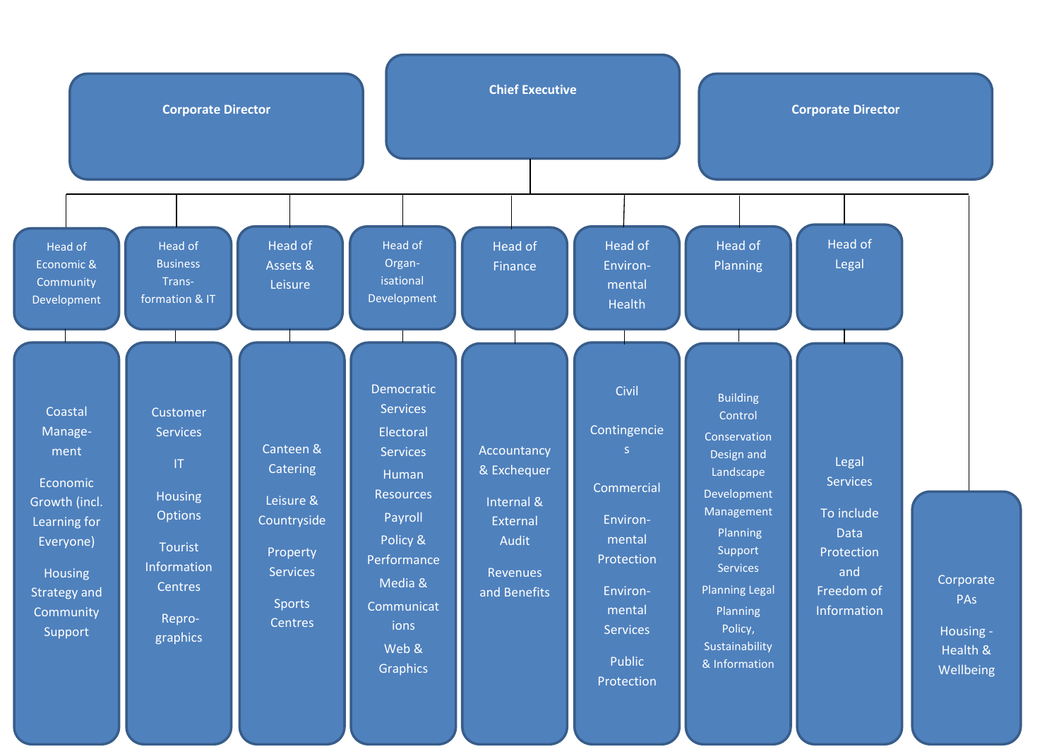